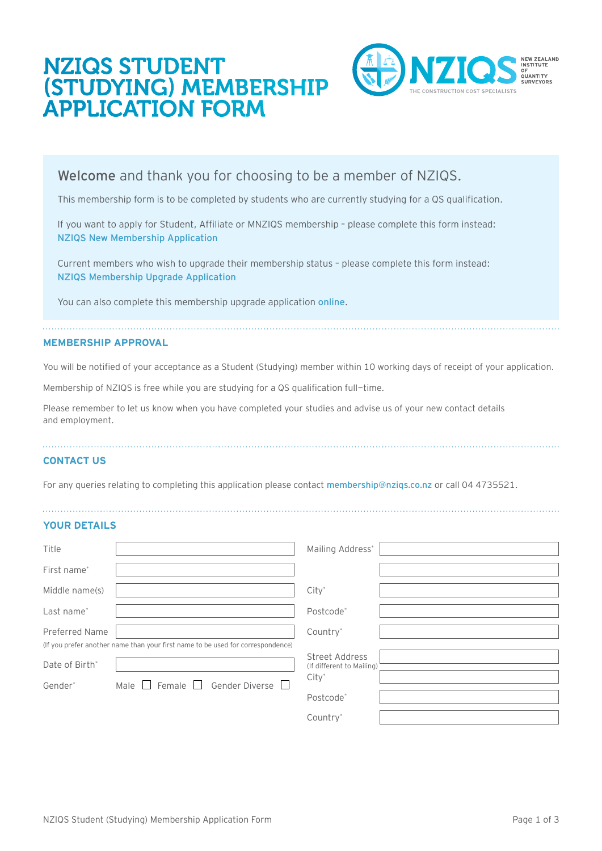# NZIQS STUDENT (STUDYING) MEMBERSHIP APPLICATION FORM



## Welcome and thank you for choosing to be a member of NZIQS.

This membership form is to be completed by students who are currently studying for a QS qualification.

If you want to apply for Student, Affiliate or MNZIQS membership – please complete this form instead: [NZIQS New Membership Application](https://www.nziqs.co.nz/forms)

Current members who wish to upgrade their membership status – please complete this form instead: [NZIQS Membership Upgrade Application](https://www.nziqs.co.nz/forms)

You can also complete this membership upgrade application [online](https://www.nziqs.co.nz/Membership/Apply).

#### **MEMBERSHIP APPROVAL**

You will be notified of your acceptance as a Student (Studying) member within 10 working days of receipt of your application.

Membership of NZIQS is free while you are studying for a QS qualification full-time.

Please remember to let us know when you have completed your studies and advise us of your new contact details and employment.

#### **CONTACT US**

For any queries relating to completing this application please contact membershi[p@nziqs.co.nz](mailto:membership%40nziqs.co.nz?subject=) or call 04 4735521.

### **YOUR DETAILS**

| Title                 |                                                                                 | Mailing Address*                            |
|-----------------------|---------------------------------------------------------------------------------|---------------------------------------------|
| First name*           |                                                                                 |                                             |
| Middle name(s)        |                                                                                 | $City^*$                                    |
| Last name*            |                                                                                 | Postcode*                                   |
| <b>Preferred Name</b> | (If you prefer another name than your first name to be used for correspondence) | Country*                                    |
| Date of Birth*        |                                                                                 | Street Address<br>(If different to Mailing) |
| Gender*               | Male $\Box$ Female $\Box$ Gender Diverse $\Box$                                 | City <sup>*</sup>                           |
|                       |                                                                                 | Postcode <sup>*</sup>                       |
|                       |                                                                                 | Country*                                    |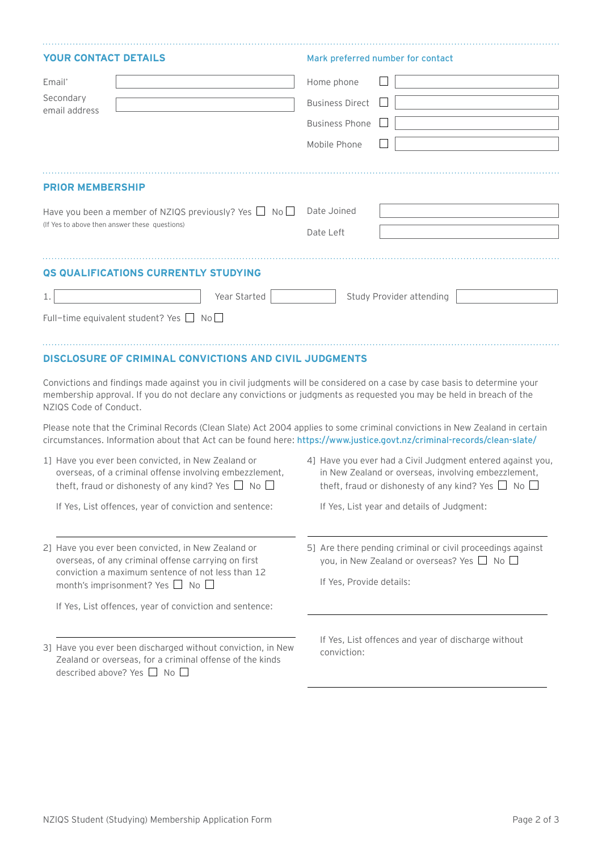| <b>YOUR CONTACT DETAILS</b>                                                                                                                                                                                  |                                      | Mark preferred number for contact                                                                                                                                                 |                          |                                                                                                                                                                                                                                                       |  |  |
|--------------------------------------------------------------------------------------------------------------------------------------------------------------------------------------------------------------|--------------------------------------|-----------------------------------------------------------------------------------------------------------------------------------------------------------------------------------|--------------------------|-------------------------------------------------------------------------------------------------------------------------------------------------------------------------------------------------------------------------------------------------------|--|--|
| Email*<br>Secondary<br>email address                                                                                                                                                                         |                                      |                                                                                                                                                                                   | Home phone               |                                                                                                                                                                                                                                                       |  |  |
|                                                                                                                                                                                                              |                                      |                                                                                                                                                                                   | <b>Business Direct</b>   |                                                                                                                                                                                                                                                       |  |  |
|                                                                                                                                                                                                              |                                      |                                                                                                                                                                                   | <b>Business Phone</b>    |                                                                                                                                                                                                                                                       |  |  |
|                                                                                                                                                                                                              |                                      |                                                                                                                                                                                   | Mobile Phone             |                                                                                                                                                                                                                                                       |  |  |
| <b>PRIOR MEMBERSHIP</b>                                                                                                                                                                                      |                                      |                                                                                                                                                                                   |                          |                                                                                                                                                                                                                                                       |  |  |
| Have you been a member of NZIQS previously? Yes $\Box$ No $\Box$<br>(If Yes to above then answer these questions)                                                                                            |                                      | Date Joined                                                                                                                                                                       |                          |                                                                                                                                                                                                                                                       |  |  |
|                                                                                                                                                                                                              |                                      | Date Left                                                                                                                                                                         |                          |                                                                                                                                                                                                                                                       |  |  |
|                                                                                                                                                                                                              | QS QUALIFICATIONS CURRENTLY STUDYING |                                                                                                                                                                                   |                          |                                                                                                                                                                                                                                                       |  |  |
| 1.                                                                                                                                                                                                           |                                      | Year Started                                                                                                                                                                      | Study Provider attending |                                                                                                                                                                                                                                                       |  |  |
| Full-time equivalent student? Yes $\Box$ No $\Box$                                                                                                                                                           |                                      |                                                                                                                                                                                   |                          |                                                                                                                                                                                                                                                       |  |  |
|                                                                                                                                                                                                              |                                      | DISCLOSURE OF CRIMINAL CONVICTIONS AND CIVIL JUDGMENTS                                                                                                                            |                          | Convictions and findings made against you in civil judgments will be considered on a case by case basis to determine your<br>membership approval. If you do not declare any convictions or judgments as requested you may be held in breach of the    |  |  |
| NZIQS Code of Conduct.                                                                                                                                                                                       |                                      |                                                                                                                                                                                   |                          |                                                                                                                                                                                                                                                       |  |  |
|                                                                                                                                                                                                              |                                      |                                                                                                                                                                                   |                          | Please note that the Criminal Records (Clean Slate) Act 2004 applies to some criminal convictions in New Zealand in certain<br>circumstances. Information about that Act can be found here: https://www.justice.govt.nz/criminal-records/clean-slate/ |  |  |
| 1] Have you ever been convicted, in New Zealand or<br>overseas, of a criminal offense involving embezzlement,<br>theft, fraud or dishonesty of any kind? Yes $\Box$ No $\Box$                                |                                      | 4] Have you ever had a Civil Judgment entered against you,<br>in New Zealand or overseas, involving embezzlement,<br>theft, fraud or dishonesty of any kind? Yes $\Box$ No $\Box$ |                          |                                                                                                                                                                                                                                                       |  |  |
| If Yes, List offences, year of conviction and sentence:                                                                                                                                                      |                                      | If Yes, List year and details of Judgment:                                                                                                                                        |                          |                                                                                                                                                                                                                                                       |  |  |
| 2] Have you ever been convicted, in New Zealand or<br>overseas, of any criminal offense carrying on first<br>conviction a maximum sentence of not less than 12<br>month's imprisonment? Yes $\Box$ No $\Box$ |                                      | 5] Are there pending criminal or civil proceedings against<br>you, in New Zealand or overseas? Yes $\Box$ No $\Box$<br>If Yes, Provide details:                                   |                          |                                                                                                                                                                                                                                                       |  |  |
| If Yes, List offences, year of conviction and sentence:                                                                                                                                                      |                                      |                                                                                                                                                                                   |                          |                                                                                                                                                                                                                                                       |  |  |

3] Have you ever been discharged without conviction, in New Zealand or overseas, for a criminal offense of the kinds described above? Yes  $\Box$  No  $\Box$ 

If Yes, List offences and year of discharge without conviction: